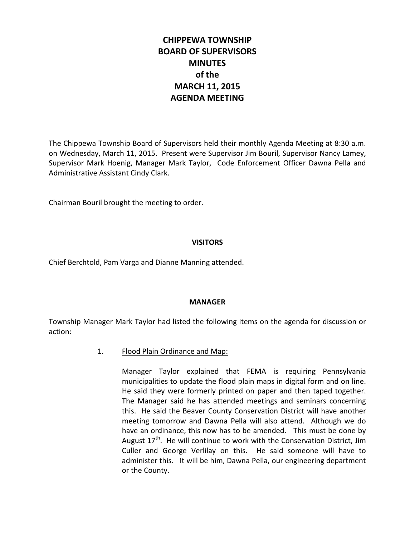# **CHIPPEWA TOWNSHIP BOARD OF SUPERVISORS MINUTES of the MARCH 11, 2015 AGENDA MEETING**

The Chippewa Township Board of Supervisors held their monthly Agenda Meeting at 8:30 a.m. on Wednesday, March 11, 2015. Present were Supervisor Jim Bouril, Supervisor Nancy Lamey, Supervisor Mark Hoenig, Manager Mark Taylor, Code Enforcement Officer Dawna Pella and Administrative Assistant Cindy Clark.

Chairman Bouril brought the meeting to order.

# **VISITORS**

Chief Berchtold, Pam Varga and Dianne Manning attended.

# **MANAGER**

Township Manager Mark Taylor had listed the following items on the agenda for discussion or action:

# 1. Flood Plain Ordinance and Map:

Manager Taylor explained that FEMA is requiring Pennsylvania municipalities to update the flood plain maps in digital form and on line. He said they were formerly printed on paper and then taped together. The Manager said he has attended meetings and seminars concerning this. He said the Beaver County Conservation District will have another meeting tomorrow and Dawna Pella will also attend. Although we do have an ordinance, this now has to be amended. This must be done by August  $17<sup>th</sup>$ . He will continue to work with the Conservation District, Jim Culler and George Verlilay on this. He said someone will have to administer this. It will be him, Dawna Pella, our engineering department or the County.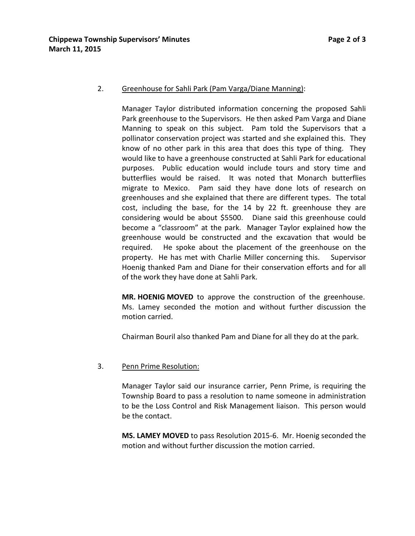## 2. Greenhouse for Sahli Park (Pam Varga/Diane Manning):

Manager Taylor distributed information concerning the proposed Sahli Park greenhouse to the Supervisors. He then asked Pam Varga and Diane Manning to speak on this subject. Pam told the Supervisors that a pollinator conservation project was started and she explained this. They know of no other park in this area that does this type of thing. They would like to have a greenhouse constructed at Sahli Park for educational purposes. Public education would include tours and story time and butterflies would be raised. It was noted that Monarch butterflies migrate to Mexico. Pam said they have done lots of research on greenhouses and she explained that there are different types. The total cost, including the base, for the 14 by 22 ft. greenhouse they are considering would be about \$5500. Diane said this greenhouse could become a "classroom" at the park. Manager Taylor explained how the greenhouse would be constructed and the excavation that would be required. He spoke about the placement of the greenhouse on the property. He has met with Charlie Miller concerning this. Supervisor Hoenig thanked Pam and Diane for their conservation efforts and for all of the work they have done at Sahli Park.

**MR. HOENIG MOVED** to approve the construction of the greenhouse. Ms. Lamey seconded the motion and without further discussion the motion carried.

Chairman Bouril also thanked Pam and Diane for all they do at the park.

# 3. Penn Prime Resolution:

Manager Taylor said our insurance carrier, Penn Prime, is requiring the Township Board to pass a resolution to name someone in administration to be the Loss Control and Risk Management liaison. This person would be the contact.

**MS. LAMEY MOVED** to pass Resolution 2015-6. Mr. Hoenig seconded the motion and without further discussion the motion carried.